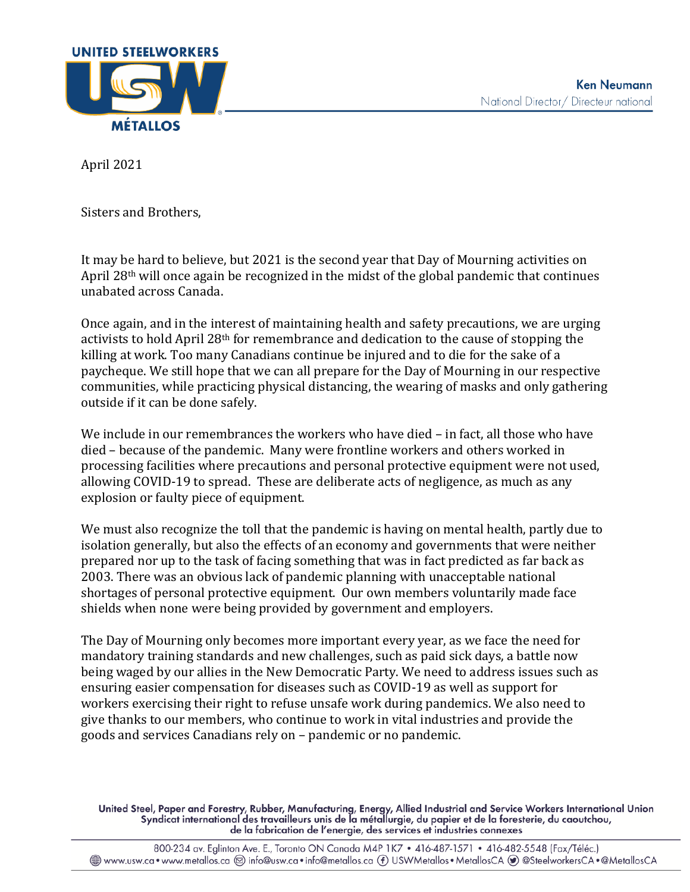



April 2021

Sisters and Brothers,

It may be hard to believe, but 2021 is the second year that Day of Mourning activities on April 28th will once again be recognized in the midst of the global pandemic that continues unabated across Canada.

Once again, and in the interest of maintaining health and safety precautions, we are urging activists to hold April 28th for remembrance and dedication to the cause of stopping the killing at work. Too many Canadians continue be injured and to die for the sake of a paycheque. We still hope that we can all prepare for the Day of Mourning in our respective communities, while practicing physical distancing, the wearing of masks and only gathering outside if it can be done safely.

We include in our remembrances the workers who have died – in fact, all those who have died – because of the pandemic. Many were frontline workers and others worked in processing facilities where precautions and personal protective equipment were not used, allowing COVID-19 to spread. These are deliberate acts of negligence, as much as any explosion or faulty piece of equipment.

We must also recognize the toll that the pandemic is having on mental health, partly due to isolation generally, but also the effects of an economy and governments that were neither prepared nor up to the task of facing something that was in fact predicted as far back as 2003. There was an obvious lack of pandemic planning with unacceptable national shortages of personal protective equipment. Our own members voluntarily made face shields when none were being provided by government and employers.

The Day of Mourning only becomes more important every year, as we face the need for mandatory training standards and new challenges, such as paid sick days, a battle now being waged by our allies in the New Democratic Party. We need to address issues such as ensuring easier compensation for diseases such as COVID-19 as well as support for workers exercising their right to refuse unsafe work during pandemics. We also need to give thanks to our members, who continue to work in vital industries and provide the goods and services Canadians rely on – pandemic or no pandemic.

United Steel, Paper and Forestry, Rubber, Manufacturing, Energy, Allied Industrial and Service Workers International Union<br>Syndicat international des travailleurs unis de la métallurgie, du papier et de la foresterie, du c de la fabrication de l'energie, des services et industries connexes